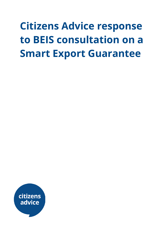# **Citizens Advice response to BEIS consultation on a Smart Export Guarantee**

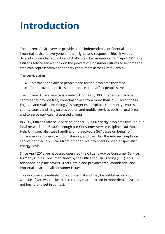# **Introduction**

The Citizens Advice service provides free, independent, confidential and impartial advice to everyone on their rights and responsibilities. It values diversity, promotes equality and challenges discrimination. On 1 April 2014, the Citizens Advice service took on the powers of Consumer Futures to become the statutory representative for energy consumers across Great Britain.

The service aims:

- To provide the advice people need for the problems they face
- To improve the policies and practices that affect people's lives.

The Citizens Advice service is a network of nearly 300 independent advice centres that provide free, impartial advice from more than 2,900 locations in England and Wales, including GPs' surgeries, hospitals, community centres, county courts and magistrates courts, and mobile services both in rural areas and to serve particular dispersed groups.

In 2017, Citizens Advice Service helped fix 163,000 energy problems through our local network and 61,000 through our Consumer Service Helpline. Our Extra Help Unit specialist case handling unit resolved 8,367 cases on behalf of consumers in vulnerable circumstances, and their Ask the Adviser telephone service handled 2,593 calls from other advice providers in need of specialist energy advice.

Since April 2012 we have also operated the Citizens Advice Consumer Service, formerly run as Consumer Direct by the Office for Fair Trading (OFT). This telephone helpline covers Great Britain and provides free, confidential and impartial advice on all consumer issues.

This document is entirely non-confidential and may be published on your website. If you would like to discuss any matter raised in more detail please do not hesitate to get in contact.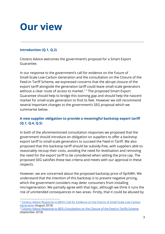# **Our view**

## **Introduction (Q.1, Q.2)**

Citizens Advice welcomes the government's proposal for a Smart Export Guarantee.

In our response to the government's call for evidence on the Future of Small-Scale Low-Carbon Generation and the consultation on the Closure of the Feed-in Tariff Scheme, we expressed concerns that the abrupt closure of the export tariff alongside the generation tariff could leave small-scale generators without a clear route of access to market.<sup>12</sup> The proposed Smart Export Guarantee should help to bridge this looming gap and should help the nascent market for small-scale generation to find its feet. However we still recommend several important changes to the government's SEG proposal which we summarise below.

# **A new supplier obligation to provide a meaningful backstop export tariff (Q.1, Q.4, Q.5)**

In both of the aforementioned consultation responses we proposed that the government should introduce an obligation on suppliers to offer a backstop export tariff to small-scale generators to succeed the Feed-in Tariff. We also proposed that this backstop tariff should be subsidy-free, with suppliers able to reasonably recoup their costs, avoiding the need for levelisation and removing the need for the export tariff to be considered when setting the price cap. The proposed SEG satisfies these two criteria and meets with our approval in these respects.

However, we are concerned about the proposed backstop price of 0p/kWh. We understand that the intention of this backstop is to prevent negative pricing, which the government considers may deter consumers from installing microgeneration. We partially agree with that logic, although we think it runs the risk of unintended consequences in two areas. Firstly, that it could be abused by

<sup>1</sup> Citizens Advice Response to BEIS's Call for Evidence on the Future of Small [Scale-Low](https://www.citizensadvice.org.uk/about-us/policy/policy-research-topics/energy-policy-research-and-consultation-responses/energy-consultation-responses/citizens-advice-response-to-beiss-call-for-evidence-on-the-future-of-small-scale-low-carbon-generation/) Carbon [Generation](https://www.citizensadvice.org.uk/about-us/policy/policy-research-topics/energy-policy-research-and-consultation-responses/energy-consultation-responses/citizens-advice-response-to-beiss-call-for-evidence-on-the-future-of-small-scale-low-carbon-generation/) (August 2018)

<sup>&</sup>lt;sup>2</sup> Citizens Advice Response to BEIS [Consultation](https://www.citizensadvice.org.uk/about-us/policy/policy-research-topics/energy-policy-research-and-consultation-responses/energy-consultation-responses/citizens-advice-response-to-beis-consultation-on-the-feed-in-tariffs-scheme/) on the Closure of the Feed-in Tariffs Scheme (September 2018)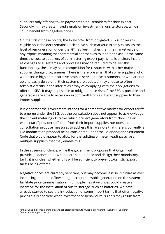suppliers only offering token payments to householders for their export. Secondly, it may create mixed signals on investment in onsite storage, which could benefit from negative prices.

On the first of these points, the likely offer from obligated SEG suppliers to eligible householders remains unclear. No such market currently exists, as the level of remuneration under the FiT has been higher than the market value of any export, meaning that commercial alternatives to it do not exist. At the same time, the cost to suppliers of administering export payments is unclear. Insofar as changes to IT systems and processes may be required to deliver this functionality, these may be in competition for resources with other major supplier change programmes. There is therefore a risk that some suppliers who would incur high administrative costs in serving these customers, or who are not able to easily do so until their systems are updated, may choose to often tokenistic tariffs in the interim as a way of complying with their obligations to offer the SEG. It may be possible to mitigate these risks if the SEG is portable and generators are able to access an export tariff from a different supplier to their import supplier.

It is clear that the government intends for a competitive market for export tariffs to emerge under the SEG, but the consultation does not appear to acknowledge the current metering obstacles which prevent generators from choosing an export tariff provider different from their import supplier, nor does the consultation propose measures to address this. We note that there is currently a live modification proposal being considered under the Balancing and Settlement Code that would appear to allow for the splitting of meter readings across multiple suppliers that may enable this.<sup>3</sup>

In the absence of choice, while the government proposes that Ofgem will provide guidance on how suppliers should price and design their mandatory tariff, it is unclear whether this will be sufficient to prevent tokenistic export tariffs being offered.

Negative prices are currently very rare, but may become less so in future as ever increasing amounts of low marginal cost renewable generation on the system facilitate price cannibalisation. In principle, negative prices could create an incentive for the installation of onsite storage, such as batteries. We have already started to see the introduction of some import tariffs that offer negative pricing.<sup>4</sup> It is not clear what investment or behavioural signals may result from

<sup>&</sup>lt;sup>3</sup> P379, 'Enabling consumers to buy and sell electricity from/to multiple providers through Meter Splitting'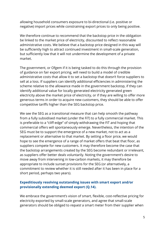allowing household consumers exposure to bi-directional (i.e. positive or negative) import prices while constraining export prices to only being positive.

We therefore continue to recommend that the backstop price in the obligation be linked to the market price of electricity, discounted to reflect reasonable administrative costs. We believe that a backstop price designed in this way will be sufficiently high to attract continued investment in small-scale generation, but sufficiently low that it will not undermine the development of a private market.

The government, or Ofgem if it is being tasked to do this through the provision of guidance on fair export pricing, will need to build a model of credible administrative costs that allow it to set a backstop that doesn't force suppliers to sell at a loss. If suppliers can identify additional efficiencies in administering the scheme relative to the allowance made in the government backstop, if they can identify additional value for locally generated electricity generated green electricity above the market price of electricity, or if they are willing to offer more generous terms in order to acquire new customers, they should be able to offer competitive tariffs higher than the SEG backstop price.

We see the SEG as a transitional measure that can help smooth the pathway from a fully subsidised market (under the FiT) to a fully commercial market. This is preferable to a "cliff-edge" of simply withdrawing the FiT and hoping that commercial offers will spontaneously emerge. Nevertheless, the intention of the SEG must be to support the emergence of a new market, not to act as a replacement or alternative to that market. By setting a floor price, we would hope to see the emergence of a range of market offers that beat that floor, as suppliers compete for new customers. It may therefore become the case that the backstop arrangements created by the SEG become redundant or irrelevant, as suppliers offer better deals voluntarily. Noting the government's desire to move away from intervening in low-carbon markets, it may therefore be appropriate to include sunset provisions for the SEG (or alternatively, a commitment to review whether it is still needed after it has been in place for a short period, perhaps two years).

#### **Expeditiously resolving outstanding issues with smart export and/or provisionally extending deemed export (Q.14).**

We embrace the government's vision of smart, flexible, cost-reflective pricing for electricity exported by small-scale generators, and agree that small-scale generators should be obliged to *request* a smart meter from their supplier when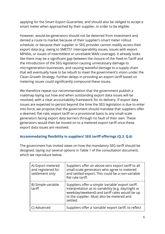applying for the Smart Export Guarantee, and should also be obliged to *accept* a smart meter when approached by their supplier, in order to be eligible.

However, would-be-generators should not be deterred from investment and denied a route to market because of their supplier's smart meter rollout schedule, or because their supplier or SEG provider cannot readily access their export data (e.g. owing to SMETS1 interoperability issues, issues with export MPANs, or issues of intermittent or unreliable WAN coverage). It already looks like there may be a significant gap between the closure of the Feed-in-Tariff and the introduction of the SEG legislation causing unnecessary damage to microgeneration businesses, and causing wasteful damage to a supply chain that will eventually have to be rebuilt to meet the government's vision under the Clean Growth Strategy. Further delays in providing an export tariff based on metering issues could significantly compound these issues.

We therefore repeat our recommendation that the government publish a roadmap laying out how and when outstanding export data issues will be resolved, with a clear accountability framework for its delivery. If export data issues are expected to persist beyond the time the SEG legislation is due to enter into force, we propose that the government should mandate that suppliers offer a deemed, flat-rate, export tariff on a provisional basis to any small-scale generators facing export data barriers through no fault of their own. These generators would then be moved on to a metered export tariff once these export data issues are resolved.

### **Accommodating flexibility in suppliers' SEG tariff offerings (Q.3, Q.6)**

The government has invited views on how the mandatory SEG tariff should be designed, laying out several options in Table 1 of the consultation document, which we reproduce below.

| A) Export metered<br>and registered for<br>settlement only | Suppliers offer an above-zero export tariff to all<br>small-scale generators who agree to metered<br>and settled export. This could be a non-variable<br>flat rate tariff.                                          |
|------------------------------------------------------------|---------------------------------------------------------------------------------------------------------------------------------------------------------------------------------------------------------------------|
| B) Simple variable<br>tariff                               | Suppliers offer a simple 'variable' export tariff.<br>Interpretation as to variability (e.g. day/night or<br>weekday/weekend) and tariff rates would be up<br>to the supplier. Must also be metered and<br>settled. |
| C) Advanced                                                | Suppliers offer a 'variable' export tariff, to reflect                                                                                                                                                              |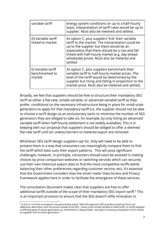| variable tariff                                | energy system conditions on up to a half-hourly<br>basis. Interpretation of tariff rates would be up to<br>supplier. Must also be metered and settled.                                                                                                                                                             |
|------------------------------------------------|--------------------------------------------------------------------------------------------------------------------------------------------------------------------------------------------------------------------------------------------------------------------------------------------------------------------|
| D) Variable tariff<br>linked to market         | As option C, plus suppliers 'link' their variable<br>tariff to the market. The interpretation could be<br>up to the supplier but there would be an<br>expectation that there should be a rise and fall<br>linked with half-hourly market (e.g. day-ahead<br>wholesale) prices. Must also be metered and<br>settled |
| E) Variable tariff<br>benchmarked to<br>market | As option C, plus suppliers benchmark their<br>variable tariff to half-hourly market prices. The<br>level of the tariff would be determined by the<br>supplier but rising and falling in proportion to the<br>market price. Must also be metered and settled.                                                      |

Broadly, we feel that suppliers should be free to structure their mandatory SEG tariff as either a flat-rate, simple variable, or advanced variable tariff as they prefer, conditional on the necessary infrastructure being in place for small-scale generators to apply for that mandatory tariff (i.e. the supplier should not be able to choose a tariff design as an exclusionary tactic to minimise the number of SEG generators they are obliged to take on, for example, by only listing an advanced variable tariff when half-hourly settlement is not widely available). This is in keeping with our proposal that suppliers should be obliged to offer a deemed flat-rate tariff until (or unless) barriers to metered export are removed.

Whichever SEG tariff design suppliers opt for, they will need to be able to present them in a way that consumers can meaningfully compare them to find the tariff which best suits their export patterns. This will pose significant challenges, however, in principle, consumers should soon be assisted in making choices by price comparison websites or switching services which can securely use their own historical export data to find the most competitive tariffs (while balancing their other preferences regarding customer service, etc). It's essential that the Government considers how the smart meter Data Access and Privacy Framework applies here in order to facilitate the emergence of these services.

The consultation document makes clear that suppliers are free to offer additional tariffs outside of the scope of their mandatory SEG export tariff.<sup>5</sup> This is an important provision to ensure that the SEG doesn't stifle innovation in

<sup>&</sup>lt;sup>5</sup> In Para 2.13 of the consultation, the government states: "With this approach SEG providers would be free to set additional, alternative, tariff structures outside of the SEG – these could include variable or fixed tariffs, or tariffs targeted at differing types of power generation e.g. intermittent or dispatchable - we expect increasing competition in this market as suppliers look to attract generators."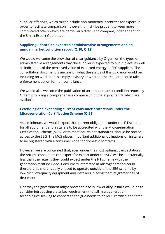supplier offerings, which might include non-monetary incentives for export. In order to facilitate comparison, however, it might be prudent to keep more complicated offers which are particularly difficult to compare, independent of the Smart Export Guarantee.

#### **Supplier guidance on expected administrative arrangements and an annual market condition report (Q.10, Q.12)**

We would welcome the provision of clear guidance by Ofgem on the types of administrative arrangements that the supplier is expected to put in place, as well as indications of the perceived value of exported energy to SEG suppliers. The consultation document is unclear on what the status of this guidance would be, including on whether it is simply advisory or whether the regulator could take enforcement action for non-compliance.

We would also welcome the publication of an annual market condition report by Ofgem providing a comprehensive comparison of the export tariffs which are available.

#### **Extending and expanding current consumer protections under the Microgeneration Certification Scheme (Q.28)**

As a minimum, we would expect that current obligations under the FiT scheme for all equipment and installers to be accredited with the Microgeneration Certification Scheme (MCS), or to meet equivalent standards, should be ported across to the SEG. The MCS places important additional obligations on installers to be registered with a consumer code for domestic contracts.

However, we are concerned that, even under the most optimistic expectations, the returns consumers can expect for export under the SEG will be substantially less than the returns they could expect under the FiT scheme with the generation tariff included. Consumers interested in microgeneration could therefore be more readily enticed to operate outside of the SEG scheme by low-cost, low-quality equipment and installers, placing them at greater risk of detriment.

One way the government might prevent a rise in low-quality installs would be to consider introducing a blanket requirement that all microgeneration technologies seeking to connect to the grid needs to be MCS certified and fitted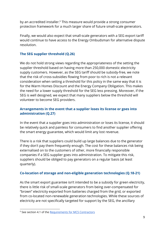by an accredited installer.<sup>6</sup> This measure would provide a strong consumer protection framework for a much larger share of future small-scale generators.

Finally, we would also expect that small-scale generators with a SEG export tariff would continue to have access to the Energy Ombudsman for alternative dispute resolution.

#### **The SEG supplier threshold (Q.26)**

We do not hold strong views regarding the appropriateness of the setting the supplier threshold based on having more than 250,000 domestic electricity supply customers. However, as the SEG tariff should be subsidy-free, we note that the risk of cross-subsidies flowing from poor to rich is not a relevant consideration when setting a threshold for this policy in the same way that it is for the Warm Homes Discount and the Energy Company Obligation. This makes the need for a lower supply threshold for the SEG less pressing. Moreover, if the SEG is well designed, we expect that many suppliers below the threshold will volunteer to become SEG providers.

#### **Arrangements in the event that a supplier loses its license or goes into administration (Q.27)**

In the event that a supplier goes into administration or loses its license, it should be relatively quick and painless for consumers to find another supplier offering the smart energy guarantee, which would limit any lost revenue.

There is a risk that suppliers could build up large balances due to the generator if they don't pay them frequently enough. The cost for these balances risk being externalised on to the customers of other, more financially responsible companies if a SEG supplier goes into administration. To mitigate this risk, suppliers should be obliged to pay generators on a regular basis (at least quarterly).

### **Co-location of storage and non-eligible generation technologies (Q.18-21)**

As the smart export guarantee isn't intended to be a subsidy for green electricity, there is little risk of small-scale generators from being over-compensated for "brown" electricity exported from batteries charged from the grid, or exported from co-located non-renewable generation technologies. While these sources of electricity are not specifically targeted for support by the SEG, the ancillary

<sup>6</sup> See section 4.1 of the [Requirements](https://www.microgenerationcertification.org/wp-content/uploads/2018/06/MCS_001-1_Issue_3.1_MCS_Contractor_Certification_Scheme_Requirements_final_2017.11.10.pdf) for MCS Contractors